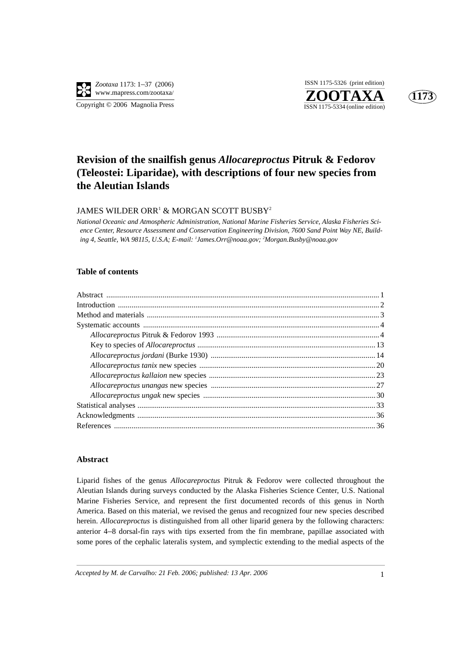

**ZOOTAXA**<br>ISSN 1175-5334 (online edition) ISSN 1175-5326 (print edition)



# **Revision of the snailfish genus** *Allocareproctus* **Pitruk & Fedorov (Teleostei: Liparidae), with descriptions of four new species from the Aleutian Islands**

## JAMES WILDER ORR $^{\rm 1}$  & MORGAN SCOTT BUSBY $^{\rm 2}$

*National Oceanic and Atmospheric Administration, National Marine Fisheries Service, Alaska Fisheries Science Center, Resource Assessment and Conservation Engineering Division, 7600 Sand Point Way NE, Building 4, Seattle, WA 98115, U.S.A; E-mail: 1 James.Orr@noaa.gov; 2 Morgan.Busby@noaa.gov*

#### **Table of contents**

#### **Abstract**

Liparid fishes of the genus *Allocareproctus* Pitruk & Fedorov were collected throughout the Aleutian Islands during surveys conducted by the Alaska Fisheries Science Center, U.S. National Marine Fisheries Service, and represent the first documented records of this genus in North America. Based on this material, we revised the genus and recognized four new species described herein. *Allocareproctus* is distinguished from all other liparid genera by the following characters: anterior 4–8 dorsal-fin rays with tips exserted from the fin membrane, papillae associated with some pores of the cephalic lateralis system, and symplectic extending to the medial aspects of the